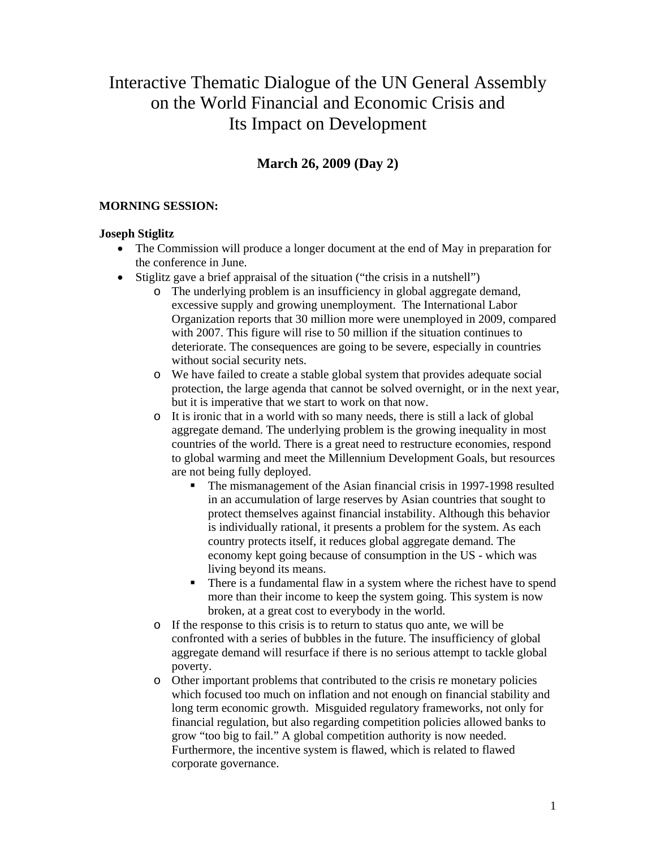# Interactive Thematic Dialogue of the UN General Assembly on the World Financial and Economic Crisis and Its Impact on Development

## **March 26, 2009 (Day 2)**

## **MORNING SESSION:**

## **Joseph Stiglitz**

- The Commission will produce a longer document at the end of May in preparation for the conference in June.
- Stiglitz gave a brief appraisal of the situation ("the crisis in a nutshell")
	- o The underlying problem is an insufficiency in global aggregate demand, excessive supply and growing unemployment. The International Labor Organization reports that 30 million more were unemployed in 2009, compared with 2007. This figure will rise to 50 million if the situation continues to deteriorate. The consequences are going to be severe, especially in countries without social security nets.
	- o We have failed to create a stable global system that provides adequate social protection, the large agenda that cannot be solved overnight, or in the next year, but it is imperative that we start to work on that now.
	- o It is ironic that in a world with so many needs, there is still a lack of global aggregate demand. The underlying problem is the growing inequality in most countries of the world. There is a great need to restructure economies, respond to global warming and meet the Millennium Development Goals, but resources are not being fully deployed.
		- The mismanagement of the Asian financial crisis in 1997-1998 resulted in an accumulation of large reserves by Asian countries that sought to protect themselves against financial instability. Although this behavior is individually rational, it presents a problem for the system. As each country protects itself, it reduces global aggregate demand. The economy kept going because of consumption in the US - which was living beyond its means.
		- There is a fundamental flaw in a system where the richest have to spend more than their income to keep the system going. This system is now broken, at a great cost to everybody in the world.
	- o If the response to this crisis is to return to status quo ante, we will be confronted with a series of bubbles in the future. The insufficiency of global aggregate demand will resurface if there is no serious attempt to tackle global poverty.
	- o Other important problems that contributed to the crisis re monetary policies which focused too much on inflation and not enough on financial stability and long term economic growth. Misguided regulatory frameworks, not only for financial regulation, but also regarding competition policies allowed banks to grow "too big to fail." A global competition authority is now needed. Furthermore, the incentive system is flawed, which is related to flawed corporate governance.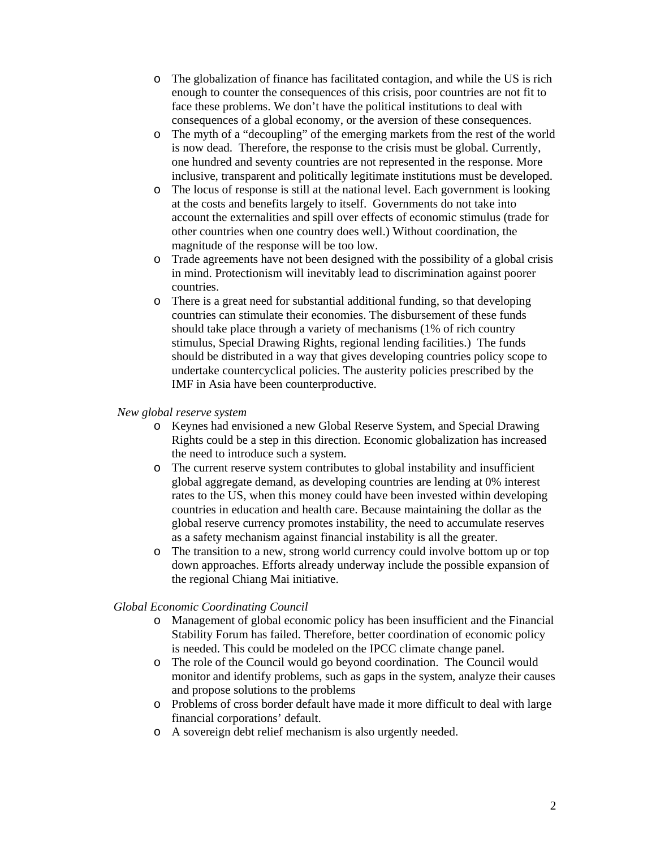- o The globalization of finance has facilitated contagion, and while the US is rich enough to counter the consequences of this crisis, poor countries are not fit to face these problems. We don't have the political institutions to deal with consequences of a global economy, or the aversion of these consequences.
- o The myth of a "decoupling" of the emerging markets from the rest of the world is now dead. Therefore, the response to the crisis must be global. Currently, one hundred and seventy countries are not represented in the response. More inclusive, transparent and politically legitimate institutions must be developed.
- o The locus of response is still at the national level. Each government is looking at the costs and benefits largely to itself. Governments do not take into account the externalities and spill over effects of economic stimulus (trade for other countries when one country does well.) Without coordination, the magnitude of the response will be too low.
- o Trade agreements have not been designed with the possibility of a global crisis in mind. Protectionism will inevitably lead to discrimination against poorer countries.
- o There is a great need for substantial additional funding, so that developing countries can stimulate their economies. The disbursement of these funds should take place through a variety of mechanisms (1% of rich country stimulus, Special Drawing Rights, regional lending facilities.) The funds should be distributed in a way that gives developing countries policy scope to undertake countercyclical policies. The austerity policies prescribed by the IMF in Asia have been counterproductive.

#### *New global reserve system*

- o Keynes had envisioned a new Global Reserve System, and Special Drawing Rights could be a step in this direction. Economic globalization has increased the need to introduce such a system.
- o The current reserve system contributes to global instability and insufficient global aggregate demand, as developing countries are lending at 0% interest rates to the US, when this money could have been invested within developing countries in education and health care. Because maintaining the dollar as the global reserve currency promotes instability, the need to accumulate reserves as a safety mechanism against financial instability is all the greater.
- o The transition to a new, strong world currency could involve bottom up or top down approaches. Efforts already underway include the possible expansion of the regional Chiang Mai initiative.

#### *Global Economic Coordinating Council*

- o Management of global economic policy has been insufficient and the Financial Stability Forum has failed. Therefore, better coordination of economic policy is needed. This could be modeled on the IPCC climate change panel.
- o The role of the Council would go beyond coordination. The Council would monitor and identify problems, such as gaps in the system, analyze their causes and propose solutions to the problems
- o Problems of cross border default have made it more difficult to deal with large financial corporations' default.
- o A sovereign debt relief mechanism is also urgently needed.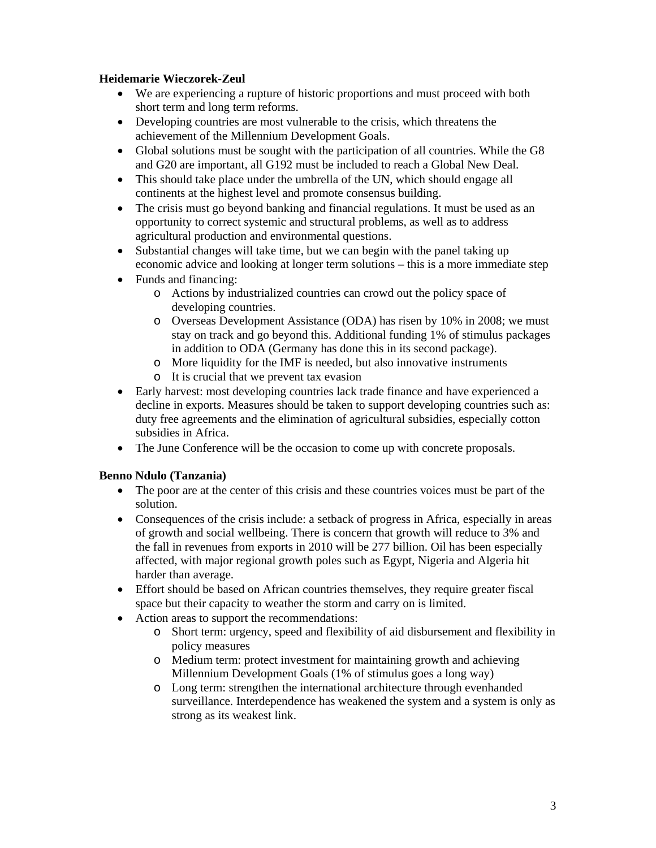## **Heidemarie Wieczorek-Zeul**

- We are experiencing a rupture of historic proportions and must proceed with both short term and long term reforms.
- Developing countries are most vulnerable to the crisis, which threatens the achievement of the Millennium Development Goals.
- Global solutions must be sought with the participation of all countries. While the G8 and G20 are important, all G192 must be included to reach a Global New Deal.
- This should take place under the umbrella of the UN, which should engage all continents at the highest level and promote consensus building.
- The crisis must go beyond banking and financial regulations. It must be used as an opportunity to correct systemic and structural problems, as well as to address agricultural production and environmental questions.
- Substantial changes will take time, but we can begin with the panel taking up economic advice and looking at longer term solutions – this is a more immediate step
- Funds and financing:
	- o Actions by industrialized countries can crowd out the policy space of developing countries.
	- o Overseas Development Assistance (ODA) has risen by 10% in 2008; we must stay on track and go beyond this. Additional funding 1% of stimulus packages in addition to ODA (Germany has done this in its second package).
	- o More liquidity for the IMF is needed, but also innovative instruments
	- o It is crucial that we prevent tax evasion
- Early harvest: most developing countries lack trade finance and have experienced a decline in exports. Measures should be taken to support developing countries such as: duty free agreements and the elimination of agricultural subsidies, especially cotton subsidies in Africa.
- The June Conference will be the occasion to come up with concrete proposals.

## **Benno Ndulo (Tanzania)**

- The poor are at the center of this crisis and these countries voices must be part of the solution.
- Consequences of the crisis include: a setback of progress in Africa, especially in areas of growth and social wellbeing. There is concern that growth will reduce to 3% and the fall in revenues from exports in 2010 will be 277 billion. Oil has been especially affected, with major regional growth poles such as Egypt, Nigeria and Algeria hit harder than average.
- Effort should be based on African countries themselves, they require greater fiscal space but their capacity to weather the storm and carry on is limited.
- Action areas to support the recommendations:
	- o Short term: urgency, speed and flexibility of aid disbursement and flexibility in policy measures
	- o Medium term: protect investment for maintaining growth and achieving Millennium Development Goals (1% of stimulus goes a long way)
	- o Long term: strengthen the international architecture through evenhanded surveillance. Interdependence has weakened the system and a system is only as strong as its weakest link.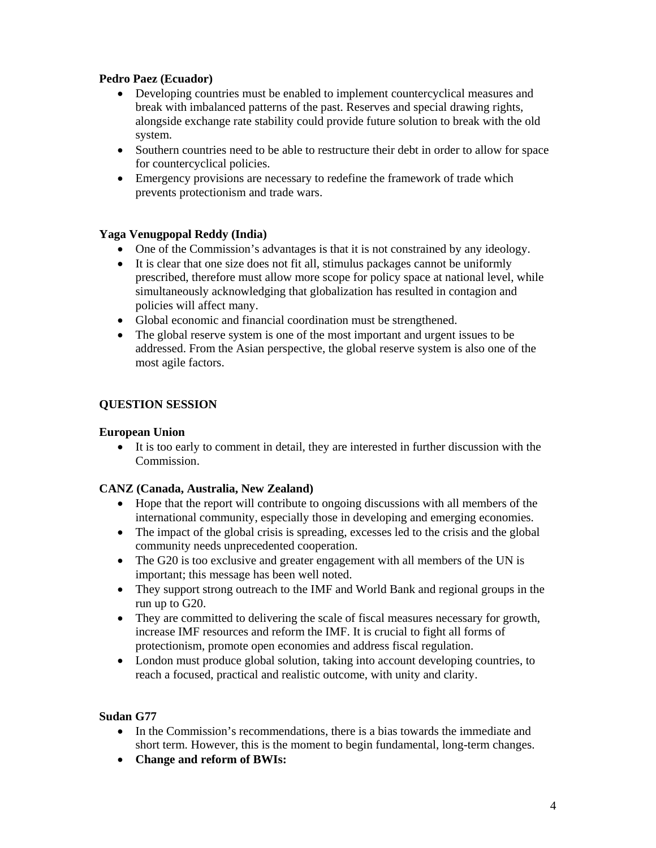## **Pedro Paez (Ecuador)**

- Developing countries must be enabled to implement countercyclical measures and break with imbalanced patterns of the past. Reserves and special drawing rights, alongside exchange rate stability could provide future solution to break with the old system.
- Southern countries need to be able to restructure their debt in order to allow for space for countercyclical policies.
- Emergency provisions are necessary to redefine the framework of trade which prevents protectionism and trade wars.

## **Yaga Venugpopal Reddy (India)**

- One of the Commission's advantages is that it is not constrained by any ideology.
- It is clear that one size does not fit all, stimulus packages cannot be uniformly prescribed, therefore must allow more scope for policy space at national level, while simultaneously acknowledging that globalization has resulted in contagion and policies will affect many.
- Global economic and financial coordination must be strengthened.
- The global reserve system is one of the most important and urgent issues to be addressed. From the Asian perspective, the global reserve system is also one of the most agile factors.

## **QUESTION SESSION**

## **European Union**

• It is too early to comment in detail, they are interested in further discussion with the Commission.

#### **CANZ (Canada, Australia, New Zealand)**

- Hope that the report will contribute to ongoing discussions with all members of the international community, especially those in developing and emerging economies.
- The impact of the global crisis is spreading, excesses led to the crisis and the global community needs unprecedented cooperation.
- The G20 is too exclusive and greater engagement with all members of the UN is important; this message has been well noted.
- They support strong outreach to the IMF and World Bank and regional groups in the run up to G20.
- They are committed to delivering the scale of fiscal measures necessary for growth, increase IMF resources and reform the IMF. It is crucial to fight all forms of protectionism, promote open economies and address fiscal regulation.
- London must produce global solution, taking into account developing countries, to reach a focused, practical and realistic outcome, with unity and clarity.

## **Sudan G77**

- In the Commission's recommendations, there is a bias towards the immediate and short term. However, this is the moment to begin fundamental, long-term changes.
- **Change and reform of BWIs:**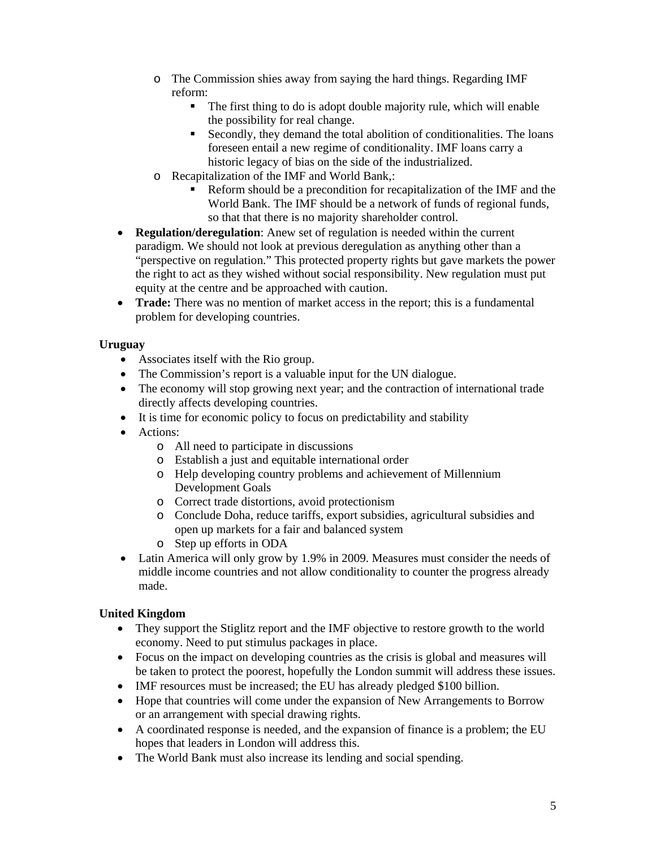- o The Commission shies away from saying the hard things. Regarding IMF reform:
	- The first thing to do is adopt double majority rule, which will enable the possibility for real change.
	- Secondly, they demand the total abolition of conditionalities. The loans foreseen entail a new regime of conditionality. IMF loans carry a historic legacy of bias on the side of the industrialized.
- o Recapitalization of the IMF and World Bank,:
	- Reform should be a precondition for recapitalization of the IMF and the World Bank. The IMF should be a network of funds of regional funds, so that that there is no majority shareholder control.
- **Regulation/deregulation**: Anew set of regulation is needed within the current paradigm. We should not look at previous deregulation as anything other than a "perspective on regulation." This protected property rights but gave markets the power the right to act as they wished without social responsibility. New regulation must put equity at the centre and be approached with caution.
- **Trade:** There was no mention of market access in the report; this is a fundamental problem for developing countries.

## **Uruguay**

- Associates itself with the Rio group.
- The Commission's report is a valuable input for the UN dialogue.
- The economy will stop growing next year; and the contraction of international trade directly affects developing countries.
- It is time for economic policy to focus on predictability and stability
- Actions:
	- o All need to participate in discussions
	- o Establish a just and equitable international order
	- o Help developing country problems and achievement of Millennium Development Goals
	- o Correct trade distortions, avoid protectionism
	- o Conclude Doha, reduce tariffs, export subsidies, agricultural subsidies and open up markets for a fair and balanced system
	- o Step up efforts in ODA
- Latin America will only grow by 1.9% in 2009. Measures must consider the needs of middle income countries and not allow conditionality to counter the progress already made.

## **United Kingdom**

- They support the Stiglitz report and the IMF objective to restore growth to the world economy. Need to put stimulus packages in place.
- Focus on the impact on developing countries as the crisis is global and measures will be taken to protect the poorest, hopefully the London summit will address these issues.
- IMF resources must be increased; the EU has already pledged \$100 billion.
- Hope that countries will come under the expansion of New Arrangements to Borrow or an arrangement with special drawing rights.
- A coordinated response is needed, and the expansion of finance is a problem; the EU hopes that leaders in London will address this.
- The World Bank must also increase its lending and social spending.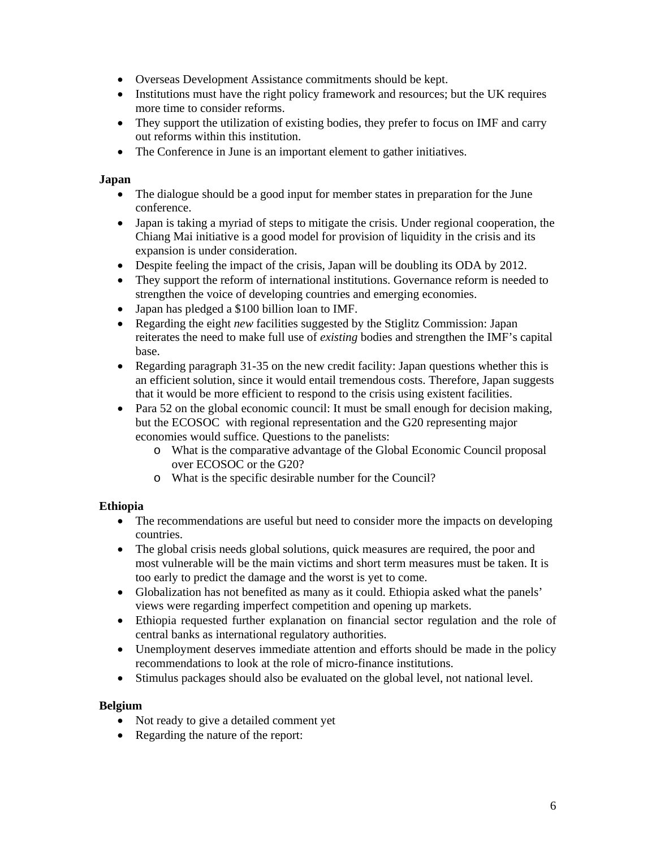- Overseas Development Assistance commitments should be kept.
- Institutions must have the right policy framework and resources; but the UK requires more time to consider reforms.
- They support the utilization of existing bodies, they prefer to focus on IMF and carry out reforms within this institution.
- The Conference in June is an important element to gather initiatives.

#### **Japan**

- The dialogue should be a good input for member states in preparation for the June conference.
- Japan is taking a myriad of steps to mitigate the crisis. Under regional cooperation, the Chiang Mai initiative is a good model for provision of liquidity in the crisis and its expansion is under consideration.
- Despite feeling the impact of the crisis, Japan will be doubling its ODA by 2012.
- They support the reform of international institutions. Governance reform is needed to strengthen the voice of developing countries and emerging economies.
- Japan has pledged a \$100 billion loan to IMF.
- Regarding the eight *new* facilities suggested by the Stiglitz Commission: Japan reiterates the need to make full use of *existing* bodies and strengthen the IMF's capital base.
- Regarding paragraph 31-35 on the new credit facility: Japan questions whether this is an efficient solution, since it would entail tremendous costs. Therefore, Japan suggests that it would be more efficient to respond to the crisis using existent facilities.
- Para 52 on the global economic council: It must be small enough for decision making, but the ECOSOC with regional representation and the G20 representing major economies would suffice. Questions to the panelists:
	- o What is the comparative advantage of the Global Economic Council proposal over ECOSOC or the G20?
	- o What is the specific desirable number for the Council?

## **Ethiopia**

- The recommendations are useful but need to consider more the impacts on developing countries.
- The global crisis needs global solutions, quick measures are required, the poor and most vulnerable will be the main victims and short term measures must be taken. It is too early to predict the damage and the worst is yet to come.
- Globalization has not benefited as many as it could. Ethiopia asked what the panels' views were regarding imperfect competition and opening up markets.
- Ethiopia requested further explanation on financial sector regulation and the role of central banks as international regulatory authorities.
- Unemployment deserves immediate attention and efforts should be made in the policy recommendations to look at the role of micro-finance institutions.
- Stimulus packages should also be evaluated on the global level, not national level.

## **Belgium**

- Not ready to give a detailed comment yet
- Regarding the nature of the report: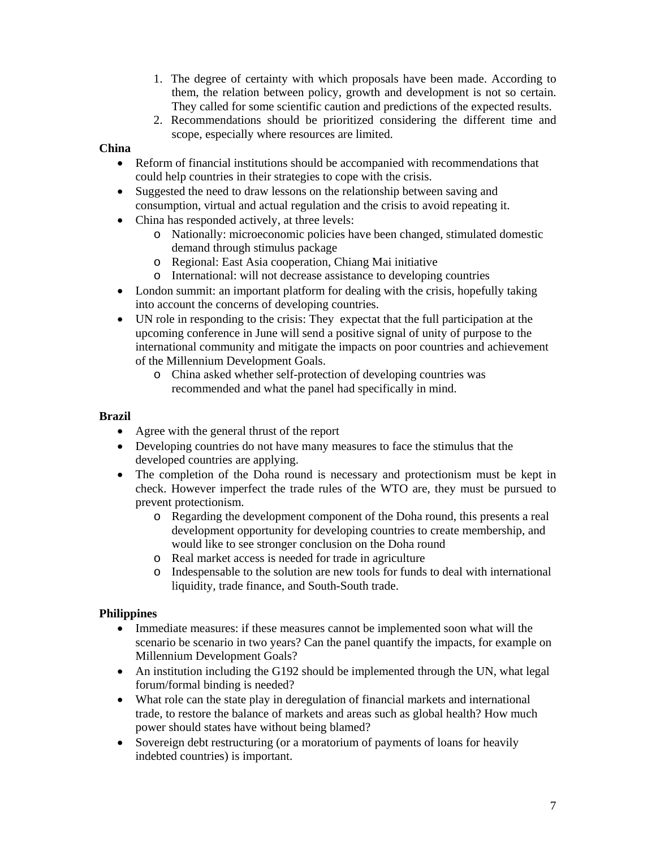- 1. The degree of certainty with which proposals have been made. According to them, the relation between policy, growth and development is not so certain. They called for some scientific caution and predictions of the expected results.
- 2. Recommendations should be prioritized considering the different time and scope, especially where resources are limited.

## **China**

- Reform of financial institutions should be accompanied with recommendations that could help countries in their strategies to cope with the crisis.
- Suggested the need to draw lessons on the relationship between saving and consumption, virtual and actual regulation and the crisis to avoid repeating it.
- China has responded actively, at three levels:
	- o Nationally: microeconomic policies have been changed, stimulated domestic demand through stimulus package
	- o Regional: East Asia cooperation, Chiang Mai initiative
	- o International: will not decrease assistance to developing countries
- London summit: an important platform for dealing with the crisis, hopefully taking into account the concerns of developing countries.
- UN role in responding to the crisis: They expectat that the full participation at the upcoming conference in June will send a positive signal of unity of purpose to the international community and mitigate the impacts on poor countries and achievement of the Millennium Development Goals.
	- o China asked whether self-protection of developing countries was recommended and what the panel had specifically in mind.

#### **Brazil**

- Agree with the general thrust of the report
- Developing countries do not have many measures to face the stimulus that the developed countries are applying.
- The completion of the Doha round is necessary and protectionism must be kept in check. However imperfect the trade rules of the WTO are, they must be pursued to prevent protectionism.
	- o Regarding the development component of the Doha round, this presents a real development opportunity for developing countries to create membership, and would like to see stronger conclusion on the Doha round
	- o Real market access is needed for trade in agriculture
	- o Indespensable to the solution are new tools for funds to deal with international liquidity, trade finance, and South-South trade.

## **Philippines**

- Immediate measures: if these measures cannot be implemented soon what will the scenario be scenario in two years? Can the panel quantify the impacts, for example on Millennium Development Goals?
- An institution including the G192 should be implemented through the UN, what legal forum/formal binding is needed?
- What role can the state play in deregulation of financial markets and international trade, to restore the balance of markets and areas such as global health? How much power should states have without being blamed?
- Sovereign debt restructuring (or a moratorium of payments of loans for heavily indebted countries) is important.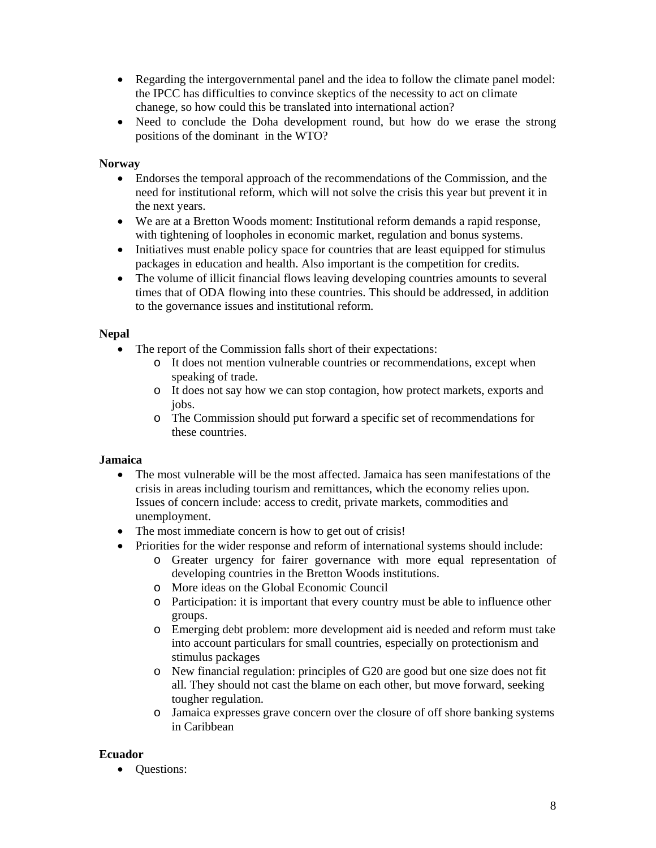- Regarding the intergovernmental panel and the idea to follow the climate panel model: the IPCC has difficulties to convince skeptics of the necessity to act on climate chanege, so how could this be translated into international action?
- Need to conclude the Doha development round, but how do we erase the strong positions of the dominant in the WTO?

## **Norway**

- Endorses the temporal approach of the recommendations of the Commission, and the need for institutional reform, which will not solve the crisis this year but prevent it in the next years.
- We are at a Bretton Woods moment: Institutional reform demands a rapid response, with tightening of loopholes in economic market, regulation and bonus systems.
- Initiatives must enable policy space for countries that are least equipped for stimulus packages in education and health. Also important is the competition for credits.
- The volume of illicit financial flows leaving developing countries amounts to several times that of ODA flowing into these countries. This should be addressed, in addition to the governance issues and institutional reform.

## **Nepal**

- The report of the Commission falls short of their expectations:
	- o It does not mention vulnerable countries or recommendations, except when speaking of trade.
	- o It does not say how we can stop contagion, how protect markets, exports and jobs.
	- o The Commission should put forward a specific set of recommendations for these countries.

## **Jamaica**

- The most vulnerable will be the most affected. Jamaica has seen manifestations of the crisis in areas including tourism and remittances, which the economy relies upon. Issues of concern include: access to credit, private markets, commodities and unemployment.
- The most immediate concern is how to get out of crisis!
- Priorities for the wider response and reform of international systems should include:
	- o Greater urgency for fairer governance with more equal representation of developing countries in the Bretton Woods institutions.
	- o More ideas on the Global Economic Council
	- o Participation: it is important that every country must be able to influence other groups.
	- o Emerging debt problem: more development aid is needed and reform must take into account particulars for small countries, especially on protectionism and stimulus packages
	- o New financial regulation: principles of G20 are good but one size does not fit all. They should not cast the blame on each other, but move forward, seeking tougher regulation.
	- o Jamaica expresses grave concern over the closure of off shore banking systems in Caribbean

## **Ecuador**

• Questions: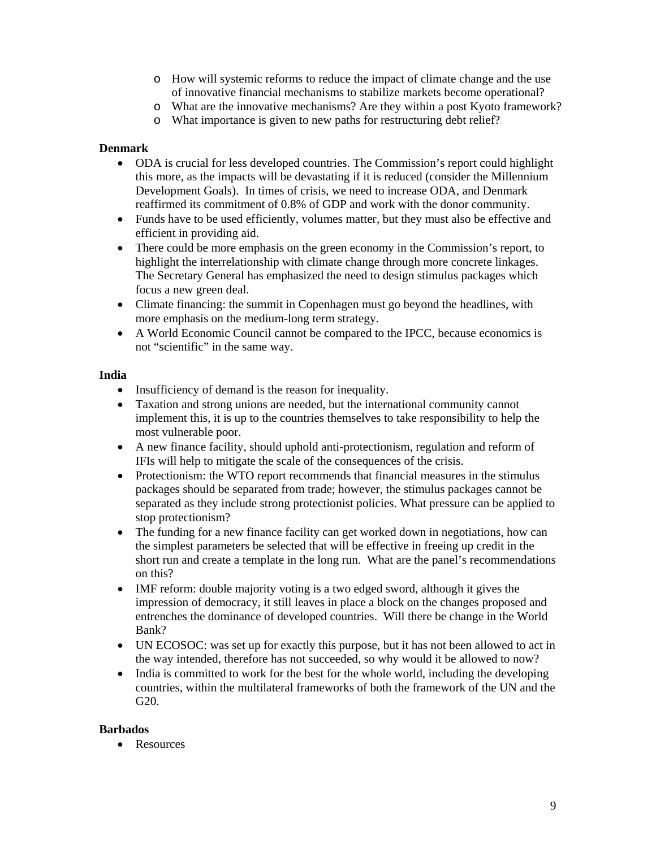- o How will systemic reforms to reduce the impact of climate change and the use of innovative financial mechanisms to stabilize markets become operational?
- o What are the innovative mechanisms? Are they within a post Kyoto framework?
- o What importance is given to new paths for restructuring debt relief?

#### **Denmark**

- ODA is crucial for less developed countries. The Commission's report could highlight this more, as the impacts will be devastating if it is reduced (consider the Millennium Development Goals). In times of crisis, we need to increase ODA, and Denmark reaffirmed its commitment of 0.8% of GDP and work with the donor community.
- Funds have to be used efficiently, volumes matter, but they must also be effective and efficient in providing aid.
- There could be more emphasis on the green economy in the Commission's report, to highlight the interrelationship with climate change through more concrete linkages. The Secretary General has emphasized the need to design stimulus packages which focus a new green deal.
- Climate financing: the summit in Copenhagen must go beyond the headlines, with more emphasis on the medium-long term strategy.
- A World Economic Council cannot be compared to the IPCC, because economics is not "scientific" in the same way.

#### **India**

- Insufficiency of demand is the reason for inequality.
- Taxation and strong unions are needed, but the international community cannot implement this, it is up to the countries themselves to take responsibility to help the most vulnerable poor.
- A new finance facility, should uphold anti-protectionism, regulation and reform of IFIs will help to mitigate the scale of the consequences of the crisis.
- Protectionism: the WTO report recommends that financial measures in the stimulus packages should be separated from trade; however, the stimulus packages cannot be separated as they include strong protectionist policies. What pressure can be applied to stop protectionism?
- The funding for a new finance facility can get worked down in negotiations, how can the simplest parameters be selected that will be effective in freeing up credit in the short run and create a template in the long run. What are the panel's recommendations on this?
- IMF reform: double majority voting is a two edged sword, although it gives the impression of democracy, it still leaves in place a block on the changes proposed and entrenches the dominance of developed countries. Will there be change in the World Bank?
- UN ECOSOC: was set up for exactly this purpose, but it has not been allowed to act in the way intended, therefore has not succeeded, so why would it be allowed to now?
- India is committed to work for the best for the whole world, including the developing countries, within the multilateral frameworks of both the framework of the UN and the G20.

#### **Barbados**

• Resources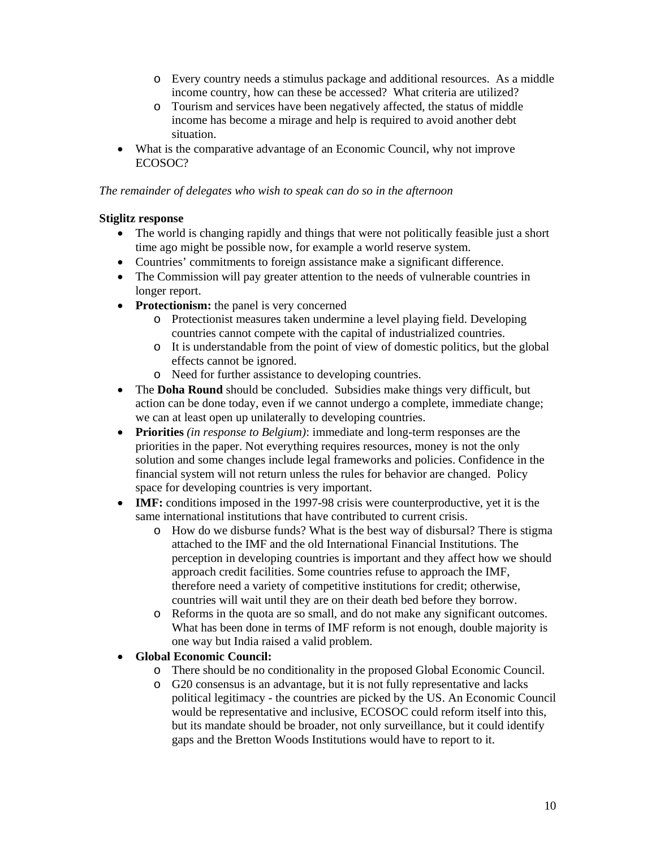- o Every country needs a stimulus package and additional resources. As a middle income country, how can these be accessed? What criteria are utilized?
- o Tourism and services have been negatively affected, the status of middle income has become a mirage and help is required to avoid another debt situation.
- What is the comparative advantage of an Economic Council, why not improve ECOSOC?

#### *The remainder of delegates who wish to speak can do so in the afternoon*

## **Stiglitz response**

- The world is changing rapidly and things that were not politically feasible just a short time ago might be possible now, for example a world reserve system.
- Countries' commitments to foreign assistance make a significant difference.
- The Commission will pay greater attention to the needs of vulnerable countries in longer report.
- **Protectionism:** the panel is very concerned
	- o Protectionist measures taken undermine a level playing field. Developing countries cannot compete with the capital of industrialized countries.
	- o It is understandable from the point of view of domestic politics, but the global effects cannot be ignored.
	- o Need for further assistance to developing countries.
- The **Doha Round** should be concluded. Subsidies make things very difficult, but action can be done today, even if we cannot undergo a complete, immediate change; we can at least open up unilaterally to developing countries.
- **Priorities** *(in response to Belgium)*: immediate and long-term responses are the priorities in the paper. Not everything requires resources, money is not the only solution and some changes include legal frameworks and policies. Confidence in the financial system will not return unless the rules for behavior are changed. Policy space for developing countries is very important.
- **IMF:** conditions imposed in the 1997-98 crisis were counterproductive, yet it is the same international institutions that have contributed to current crisis.
	- o How do we disburse funds? What is the best way of disbursal? There is stigma attached to the IMF and the old International Financial Institutions. The perception in developing countries is important and they affect how we should approach credit facilities. Some countries refuse to approach the IMF, therefore need a variety of competitive institutions for credit; otherwise, countries will wait until they are on their death bed before they borrow.
	- o Reforms in the quota are so small, and do not make any significant outcomes. What has been done in terms of IMF reform is not enough, double majority is one way but India raised a valid problem.

• **Global Economic Council:** 

- o There should be no conditionality in the proposed Global Economic Council.
- o G20 consensus is an advantage, but it is not fully representative and lacks political legitimacy - the countries are picked by the US. An Economic Council would be representative and inclusive, ECOSOC could reform itself into this, but its mandate should be broader, not only surveillance, but it could identify gaps and the Bretton Woods Institutions would have to report to it.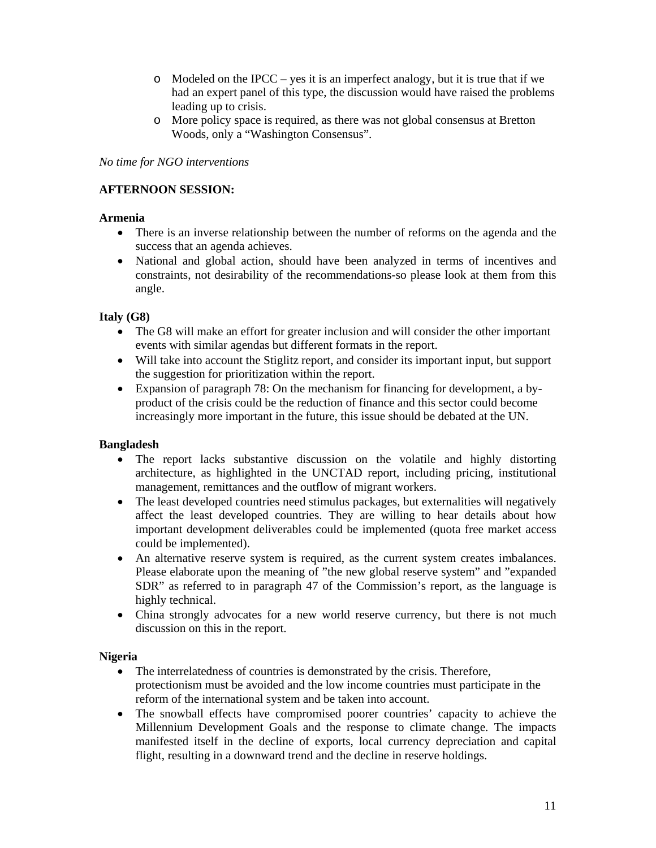- $\circ$  Modeled on the IPCC yes it is an imperfect analogy, but it is true that if we had an expert panel of this type, the discussion would have raised the problems leading up to crisis.
- o More policy space is required, as there was not global consensus at Bretton Woods, only a "Washington Consensus".

*No time for NGO interventions* 

## **AFTERNOON SESSION:**

#### **Armenia**

- There is an inverse relationship between the number of reforms on the agenda and the success that an agenda achieves.
- National and global action, should have been analyzed in terms of incentives and constraints, not desirability of the recommendations-so please look at them from this angle.

## **Italy (G8)**

- The G8 will make an effort for greater inclusion and will consider the other important events with similar agendas but different formats in the report.
- Will take into account the Stiglitz report, and consider its important input, but support the suggestion for prioritization within the report.
- Expansion of paragraph 78: On the mechanism for financing for development, a byproduct of the crisis could be the reduction of finance and this sector could become increasingly more important in the future, this issue should be debated at the UN.

#### **Bangladesh**

- The report lacks substantive discussion on the volatile and highly distorting architecture, as highlighted in the UNCTAD report, including pricing, institutional management, remittances and the outflow of migrant workers.
- The least developed countries need stimulus packages, but externalities will negatively affect the least developed countries. They are willing to hear details about how important development deliverables could be implemented (quota free market access could be implemented).
- An alternative reserve system is required, as the current system creates imbalances. Please elaborate upon the meaning of "the new global reserve system" and "expanded SDR" as referred to in paragraph 47 of the Commission's report, as the language is highly technical.
- China strongly advocates for a new world reserve currency, but there is not much discussion on this in the report.

#### **Nigeria**

- The interrelatedness of countries is demonstrated by the crisis. Therefore, protectionism must be avoided and the low income countries must participate in the reform of the international system and be taken into account.
- The snowball effects have compromised poorer countries' capacity to achieve the Millennium Development Goals and the response to climate change. The impacts manifested itself in the decline of exports, local currency depreciation and capital flight, resulting in a downward trend and the decline in reserve holdings.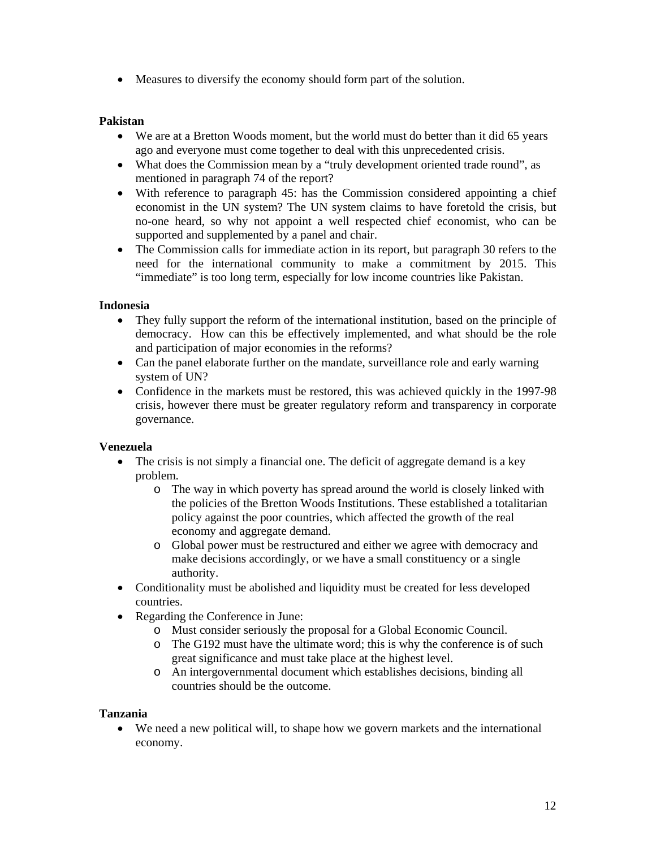• Measures to diversify the economy should form part of the solution.

#### **Pakistan**

- We are at a Bretton Woods moment, but the world must do better than it did 65 years ago and everyone must come together to deal with this unprecedented crisis.
- What does the Commission mean by a "truly development oriented trade round", as mentioned in paragraph 74 of the report?
- With reference to paragraph 45: has the Commission considered appointing a chief economist in the UN system? The UN system claims to have foretold the crisis, but no-one heard, so why not appoint a well respected chief economist, who can be supported and supplemented by a panel and chair.
- The Commission calls for immediate action in its report, but paragraph 30 refers to the need for the international community to make a commitment by 2015. This "immediate" is too long term, especially for low income countries like Pakistan.

#### **Indonesia**

- They fully support the reform of the international institution, based on the principle of democracy. How can this be effectively implemented, and what should be the role and participation of major economies in the reforms?
- Can the panel elaborate further on the mandate, surveillance role and early warning system of UN?
- Confidence in the markets must be restored, this was achieved quickly in the 1997-98 crisis, however there must be greater regulatory reform and transparency in corporate governance.

## **Venezuela**

- The crisis is not simply a financial one. The deficit of aggregate demand is a key problem.
	- o The way in which poverty has spread around the world is closely linked with the policies of the Bretton Woods Institutions. These established a totalitarian policy against the poor countries, which affected the growth of the real economy and aggregate demand.
	- o Global power must be restructured and either we agree with democracy and make decisions accordingly, or we have a small constituency or a single authority.
- Conditionality must be abolished and liquidity must be created for less developed countries.
- Regarding the Conference in June:
	- o Must consider seriously the proposal for a Global Economic Council.
	- o The G192 must have the ultimate word; this is why the conference is of such great significance and must take place at the highest level.
	- o An intergovernmental document which establishes decisions, binding all countries should be the outcome.

#### **Tanzania**

• We need a new political will, to shape how we govern markets and the international economy.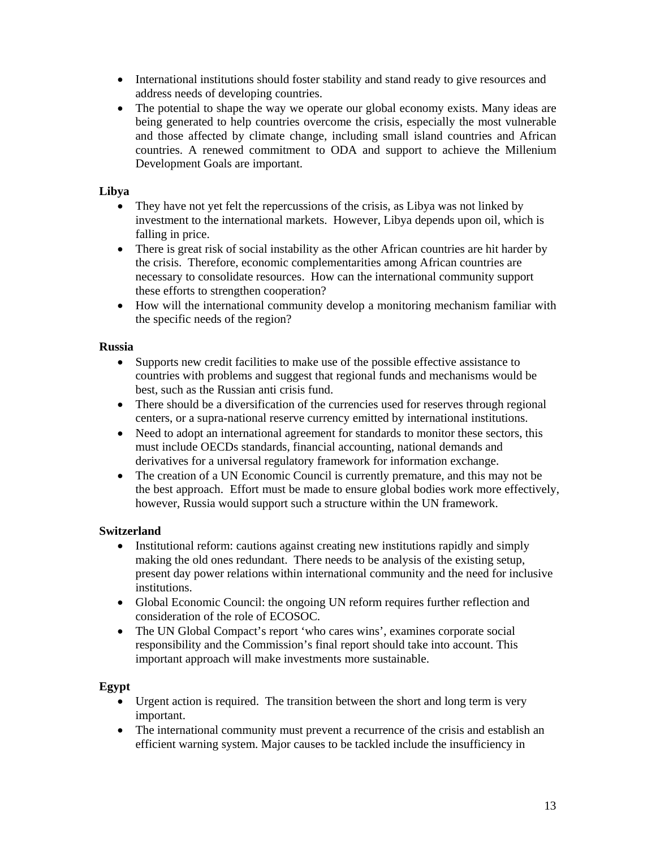- International institutions should foster stability and stand ready to give resources and address needs of developing countries.
- The potential to shape the way we operate our global economy exists. Many ideas are being generated to help countries overcome the crisis, especially the most vulnerable and those affected by climate change, including small island countries and African countries. A renewed commitment to ODA and support to achieve the Millenium Development Goals are important.

## **Libya**

- They have not yet felt the repercussions of the crisis, as Libya was not linked by investment to the international markets. However, Libya depends upon oil, which is falling in price.
- There is great risk of social instability as the other African countries are hit harder by the crisis. Therefore, economic complementarities among African countries are necessary to consolidate resources. How can the international community support these efforts to strengthen cooperation?
- How will the international community develop a monitoring mechanism familiar with the specific needs of the region?

## **Russia**

- Supports new credit facilities to make use of the possible effective assistance to countries with problems and suggest that regional funds and mechanisms would be best, such as the Russian anti crisis fund.
- There should be a diversification of the currencies used for reserves through regional centers, or a supra-national reserve currency emitted by international institutions.
- Need to adopt an international agreement for standards to monitor these sectors, this must include OECDs standards, financial accounting, national demands and derivatives for a universal regulatory framework for information exchange.
- The creation of a UN Economic Council is currently premature, and this may not be the best approach. Effort must be made to ensure global bodies work more effectively, however, Russia would support such a structure within the UN framework.

## **Switzerland**

- Institutional reform: cautions against creating new institutions rapidly and simply making the old ones redundant. There needs to be analysis of the existing setup, present day power relations within international community and the need for inclusive institutions.
- Global Economic Council: the ongoing UN reform requires further reflection and consideration of the role of ECOSOC.
- The UN Global Compact's report 'who cares wins', examines corporate social responsibility and the Commission's final report should take into account. This important approach will make investments more sustainable.

## **Egypt**

- Urgent action is required. The transition between the short and long term is very important.
- The international community must prevent a recurrence of the crisis and establish an efficient warning system. Major causes to be tackled include the insufficiency in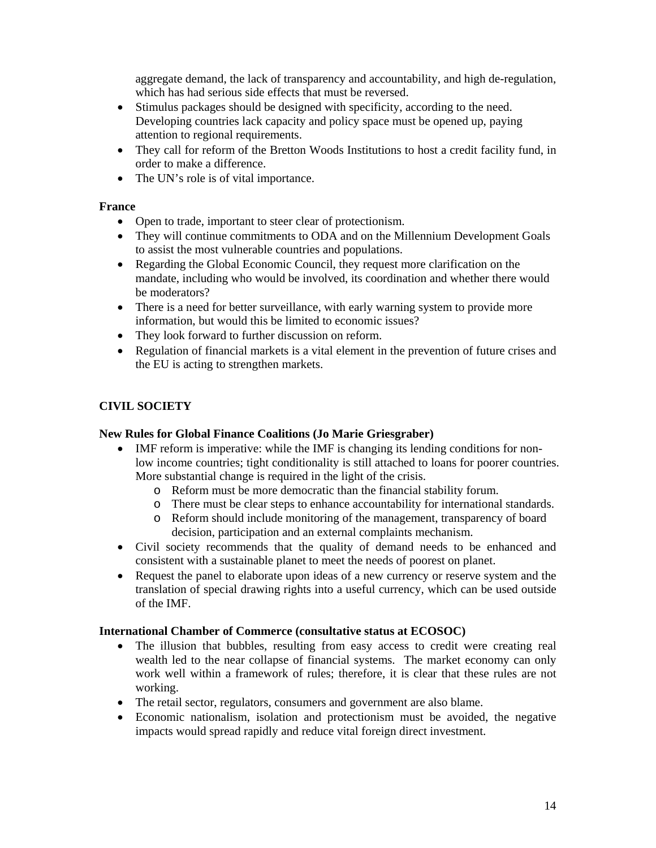aggregate demand, the lack of transparency and accountability, and high de-regulation, which has had serious side effects that must be reversed.

- Stimulus packages should be designed with specificity, according to the need. Developing countries lack capacity and policy space must be opened up, paying attention to regional requirements.
- They call for reform of the Bretton Woods Institutions to host a credit facility fund, in order to make a difference.
- The UN's role is of vital importance.

#### **France**

- Open to trade, important to steer clear of protectionism.
- They will continue commitments to ODA and on the Millennium Development Goals to assist the most vulnerable countries and populations.
- Regarding the Global Economic Council, they request more clarification on the mandate, including who would be involved, its coordination and whether there would be moderators?
- There is a need for better surveillance, with early warning system to provide more information, but would this be limited to economic issues?
- They look forward to further discussion on reform.
- Regulation of financial markets is a vital element in the prevention of future crises and the EU is acting to strengthen markets.

## **CIVIL SOCIETY**

#### **New Rules for Global Finance Coalitions (Jo Marie Griesgraber)**

- IMF reform is imperative: while the IMF is changing its lending conditions for nonlow income countries; tight conditionality is still attached to loans for poorer countries. More substantial change is required in the light of the crisis.
	- o Reform must be more democratic than the financial stability forum.
	- o There must be clear steps to enhance accountability for international standards.
	- o Reform should include monitoring of the management, transparency of board decision, participation and an external complaints mechanism.
- Civil society recommends that the quality of demand needs to be enhanced and consistent with a sustainable planet to meet the needs of poorest on planet.
- Request the panel to elaborate upon ideas of a new currency or reserve system and the translation of special drawing rights into a useful currency, which can be used outside of the IMF.

#### **International Chamber of Commerce (consultative status at ECOSOC)**

- The illusion that bubbles, resulting from easy access to credit were creating real wealth led to the near collapse of financial systems. The market economy can only work well within a framework of rules; therefore, it is clear that these rules are not working.
- The retail sector, regulators, consumers and government are also blame.
- Economic nationalism, isolation and protectionism must be avoided, the negative impacts would spread rapidly and reduce vital foreign direct investment.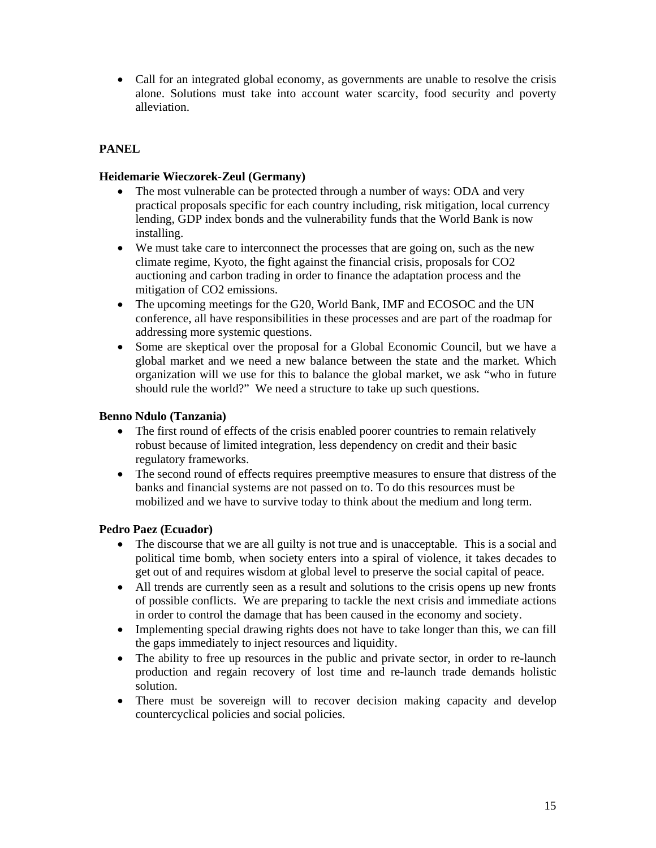• Call for an integrated global economy, as governments are unable to resolve the crisis alone. Solutions must take into account water scarcity, food security and poverty alleviation.

## **PANEL**

#### **Heidemarie Wieczorek-Zeul (Germany)**

- The most vulnerable can be protected through a number of ways: ODA and very practical proposals specific for each country including, risk mitigation, local currency lending, GDP index bonds and the vulnerability funds that the World Bank is now installing.
- We must take care to interconnect the processes that are going on, such as the new climate regime, Kyoto, the fight against the financial crisis, proposals for CO2 auctioning and carbon trading in order to finance the adaptation process and the mitigation of CO2 emissions.
- The upcoming meetings for the G20, World Bank, IMF and ECOSOC and the UN conference, all have responsibilities in these processes and are part of the roadmap for addressing more systemic questions.
- Some are skeptical over the proposal for a Global Economic Council, but we have a global market and we need a new balance between the state and the market. Which organization will we use for this to balance the global market, we ask "who in future should rule the world?" We need a structure to take up such questions.

## **Benno Ndulo (Tanzania)**

- The first round of effects of the crisis enabled poorer countries to remain relatively robust because of limited integration, less dependency on credit and their basic regulatory frameworks.
- The second round of effects requires preemptive measures to ensure that distress of the banks and financial systems are not passed on to. To do this resources must be mobilized and we have to survive today to think about the medium and long term.

#### **Pedro Paez (Ecuador)**

- The discourse that we are all guilty is not true and is unacceptable. This is a social and political time bomb, when society enters into a spiral of violence, it takes decades to get out of and requires wisdom at global level to preserve the social capital of peace.
- All trends are currently seen as a result and solutions to the crisis opens up new fronts of possible conflicts. We are preparing to tackle the next crisis and immediate actions in order to control the damage that has been caused in the economy and society.
- Implementing special drawing rights does not have to take longer than this, we can fill the gaps immediately to inject resources and liquidity.
- The ability to free up resources in the public and private sector, in order to re-launch production and regain recovery of lost time and re-launch trade demands holistic solution.
- There must be sovereign will to recover decision making capacity and develop countercyclical policies and social policies.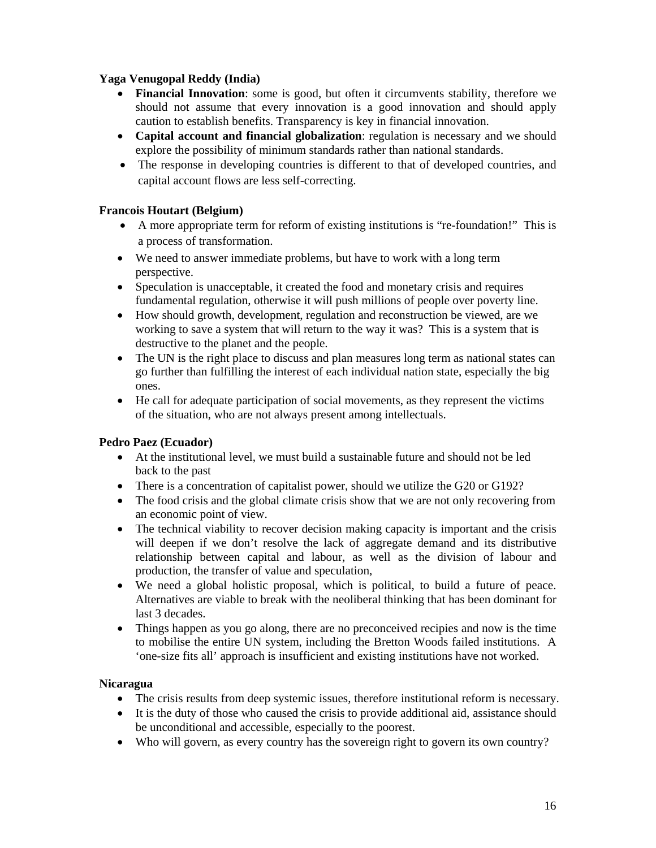## **Yaga Venugopal Reddy (India)**

- **Financial Innovation**: some is good, but often it circumvents stability, therefore we should not assume that every innovation is a good innovation and should apply caution to establish benefits. Transparency is key in financial innovation.
- **Capital account and financial globalization**: regulation is necessary and we should explore the possibility of minimum standards rather than national standards.
- The response in developing countries is different to that of developed countries, and capital account flows are less self-correcting.

## **Francois Houtart (Belgium)**

- A more appropriate term for reform of existing institutions is "re-foundation!" This is a process of transformation.
- We need to answer immediate problems, but have to work with a long term perspective.
- Speculation is unacceptable, it created the food and monetary crisis and requires fundamental regulation, otherwise it will push millions of people over poverty line.
- How should growth, development, regulation and reconstruction be viewed, are we working to save a system that will return to the way it was? This is a system that is destructive to the planet and the people.
- The UN is the right place to discuss and plan measures long term as national states can go further than fulfilling the interest of each individual nation state, especially the big ones.
- He call for adequate participation of social movements, as they represent the victims of the situation, who are not always present among intellectuals.

## **Pedro Paez (Ecuador)**

- At the institutional level, we must build a sustainable future and should not be led back to the past
- There is a concentration of capitalist power, should we utilize the G20 or G192?
- The food crisis and the global climate crisis show that we are not only recovering from an economic point of view.
- The technical viability to recover decision making capacity is important and the crisis will deepen if we don't resolve the lack of aggregate demand and its distributive relationship between capital and labour, as well as the division of labour and production, the transfer of value and speculation,
- We need a global holistic proposal, which is political, to build a future of peace. Alternatives are viable to break with the neoliberal thinking that has been dominant for last 3 decades.
- Things happen as you go along, there are no preconceived recipies and now is the time to mobilise the entire UN system, including the Bretton Woods failed institutions. A 'one-size fits all' approach is insufficient and existing institutions have not worked.

## **Nicaragua**

- The crisis results from deep systemic issues, therefore institutional reform is necessary.
- It is the duty of those who caused the crisis to provide additional aid, assistance should be unconditional and accessible, especially to the poorest.
- Who will govern, as every country has the sovereign right to govern its own country?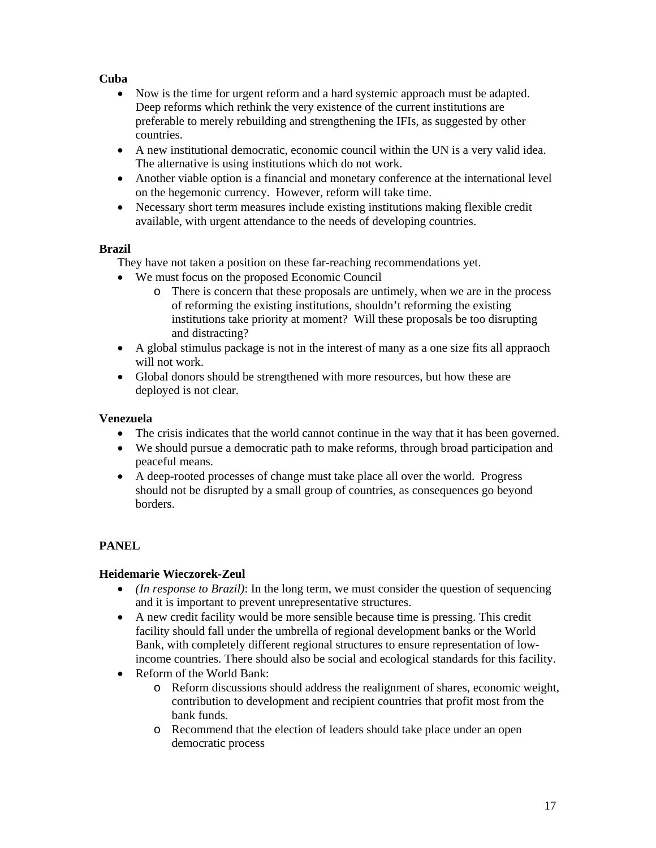## **Cuba**

- Now is the time for urgent reform and a hard systemic approach must be adapted. Deep reforms which rethink the very existence of the current institutions are preferable to merely rebuilding and strengthening the IFIs, as suggested by other countries.
- A new institutional democratic, economic council within the UN is a very valid idea. The alternative is using institutions which do not work.
- Another viable option is a financial and monetary conference at the international level on the hegemonic currency. However, reform will take time.
- Necessary short term measures include existing institutions making flexible credit available, with urgent attendance to the needs of developing countries.

## **Brazil**

They have not taken a position on these far-reaching recommendations yet.

- We must focus on the proposed Economic Council
	- o There is concern that these proposals are untimely, when we are in the process of reforming the existing institutions, shouldn't reforming the existing institutions take priority at moment? Will these proposals be too disrupting and distracting?
- A global stimulus package is not in the interest of many as a one size fits all appraoch will not work.
- Global donors should be strengthened with more resources, but how these are deployed is not clear.

## **Venezuela**

- The crisis indicates that the world cannot continue in the way that it has been governed.
- We should pursue a democratic path to make reforms, through broad participation and peaceful means.
- A deep-rooted processes of change must take place all over the world. Progress should not be disrupted by a small group of countries, as consequences go beyond borders.

## **PANEL**

## **Heidemarie Wieczorek-Zeul**

- *(In response to Brazil)*: In the long term, we must consider the question of sequencing and it is important to prevent unrepresentative structures.
- A new credit facility would be more sensible because time is pressing. This credit facility should fall under the umbrella of regional development banks or the World Bank, with completely different regional structures to ensure representation of lowincome countries. There should also be social and ecological standards for this facility.
- Reform of the World Bank:
	- o Reform discussions should address the realignment of shares, economic weight, contribution to development and recipient countries that profit most from the bank funds.
	- o Recommend that the election of leaders should take place under an open democratic process